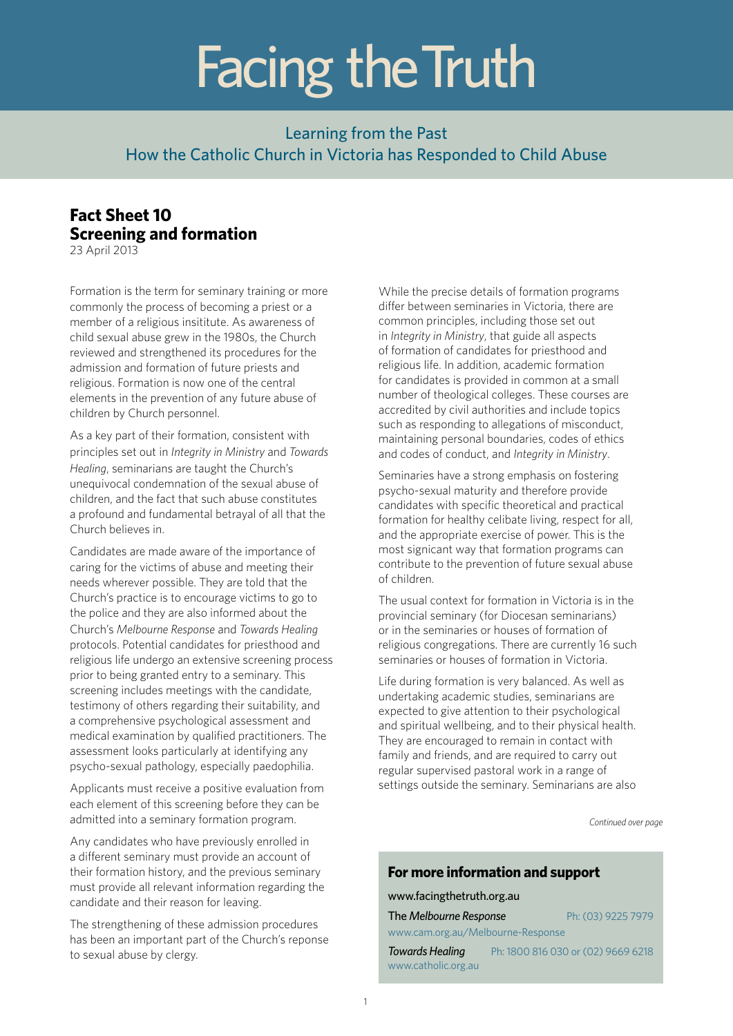# Facing the Truth

## Learning from the Past How the Catholic Church in Victoria has Responded to Child Abuse

## **Fact Sheet 10 Screening and formation**

23 April 2013

Formation is the term for seminary training or more commonly the process of becoming a priest or a member of a religious insititute. As awareness of child sexual abuse grew in the 1980s, the Church reviewed and strengthened its procedures for the admission and formation of future priests and religious. Formation is now one of the central elements in the prevention of any future abuse of children by Church personnel.

As a key part of their formation, consistent with principles set out in *Integrity in Ministry* and *Towards Healing*, seminarians are taught the Church's unequivocal condemnation of the sexual abuse of children, and the fact that such abuse constitutes a profound and fundamental betrayal of all that the Church believes in.

Candidates are made aware of the importance of caring for the victims of abuse and meeting their needs wherever possible. They are told that the Church's practice is to encourage victims to go to the police and they are also informed about the Church's *Melbourne Response* and *Towards Healing* protocols. Potential candidates for priesthood and religious life undergo an extensive screening process prior to being granted entry to a seminary. This screening includes meetings with the candidate, testimony of others regarding their suitability, and a comprehensive psychological assessment and medical examination by qualified practitioners. The assessment looks particularly at identifying any psycho-sexual pathology, especially paedophilia.

Applicants must receive a positive evaluation from each element of this screening before they can be admitted into a seminary formation program.

Any candidates who have previously enrolled in a different seminary must provide an account of their formation history, and the previous seminary must provide all relevant information regarding the candidate and their reason for leaving.

The strengthening of these admission procedures has been an important part of the Church's reponse to sexual abuse by clergy.

While the precise details of formation programs differ between seminaries in Victoria, there are common principles, including those set out in *Integrity in Ministry*, that guide all aspects of formation of candidates for priesthood and religious life. In addition, academic formation for candidates is provided in common at a small number of theological colleges. These courses are accredited by civil authorities and include topics such as responding to allegations of misconduct, maintaining personal boundaries, codes of ethics and codes of conduct, and *Integrity in Ministry*.

Seminaries have a strong emphasis on fostering psycho-sexual maturity and therefore provide candidates with specific theoretical and practical formation for healthy celibate living, respect for all, and the appropriate exercise of power. This is the most signicant way that formation programs can contribute to the prevention of future sexual abuse of children.

The usual context for formation in Victoria is in the provincial seminary (for Diocesan seminarians) or in the seminaries or houses of formation of religious congregations. There are currently 16 such seminaries or houses of formation in Victoria.

Life during formation is very balanced. As well as undertaking academic studies, seminarians are expected to give attention to their psychological and spiritual wellbeing, and to their physical health. They are encouraged to remain in contact with family and friends, and are required to carry out regular supervised pastoral work in a range of settings outside the seminary. Seminarians are also

*Continued over page*

### **For more information and support**

#### www.facingthetruth.org.au

| The Melbourne Response | Ph: (03) 9225 7979 |
|------------------------|--------------------|
|------------------------|--------------------|

www.cam.org.au/Melbourne-Response

*Towards Healing* Ph: 1800 816 030 or (02) 9669 6218 www.catholic.org.au